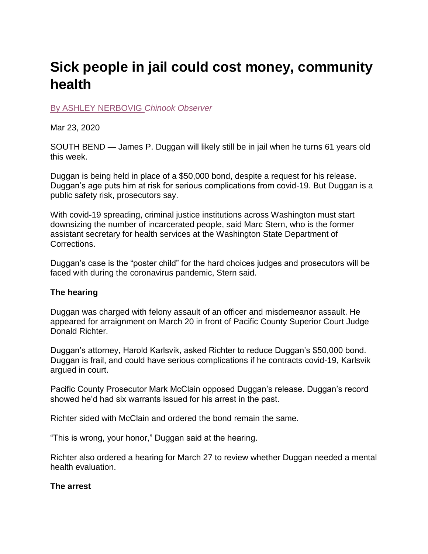# **Sick people in jail could cost money, community health**

[By ASHLEY NERBOVIG](https://www.chinookobserver.com/users/profile/anerbovig) *Chinook Observer*

Mar 23, 2020

SOUTH BEND — James P. Duggan will likely still be in jail when he turns 61 years old this week.

Duggan is being held in place of a \$50,000 bond, despite a request for his release. Duggan's age puts him at risk for serious complications from covid-19. But Duggan is a public safety risk, prosecutors say.

With covid-19 spreading, criminal justice institutions across Washington must start downsizing the number of incarcerated people, said Marc Stern, who is the former assistant secretary for health services at the Washington State Department of Corrections.

Duggan's case is the "poster child" for the hard choices judges and prosecutors will be faced with during the coronavirus pandemic, Stern said.

## **The hearing**

Duggan was charged with felony assault of an officer and misdemeanor assault. He appeared for arraignment on March 20 in front of Pacific County Superior Court Judge Donald Richter.

Duggan's attorney, Harold Karlsvik, asked Richter to reduce Duggan's \$50,000 bond. Duggan is frail, and could have serious complications if he contracts covid-19, Karlsvik argued in court.

Pacific County Prosecutor Mark McClain opposed Duggan's release. Duggan's record showed he'd had six warrants issued for his arrest in the past.

Richter sided with McClain and ordered the bond remain the same.

"This is wrong, your honor," Duggan said at the hearing.

Richter also ordered a hearing for March 27 to review whether Duggan needed a mental health evaluation.

## **The arrest**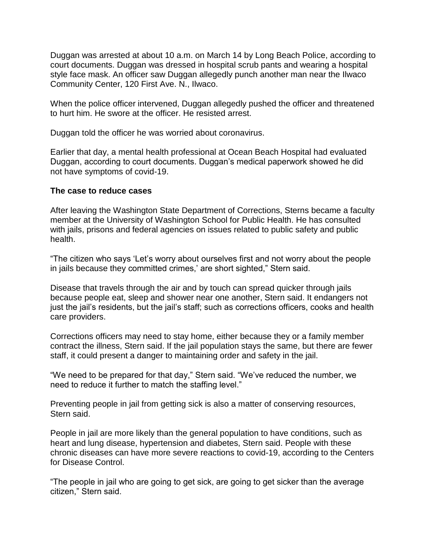Duggan was arrested at about 10 a.m. on March 14 by Long Beach Police, according to court documents. Duggan was dressed in hospital scrub pants and wearing a hospital style face mask. An officer saw Duggan allegedly punch another man near the Ilwaco Community Center, 120 First Ave. N., Ilwaco.

When the police officer intervened, Duggan allegedly pushed the officer and threatened to hurt him. He swore at the officer. He resisted arrest.

Duggan told the officer he was worried about coronavirus.

Earlier that day, a mental health professional at Ocean Beach Hospital had evaluated Duggan, according to court documents. Duggan's medical paperwork showed he did not have symptoms of covid-19.

### **The case to reduce cases**

After leaving the Washington State Department of Corrections, Sterns became a faculty member at the University of Washington School for Public Health. He has consulted with jails, prisons and federal agencies on issues related to public safety and public health.

"The citizen who says 'Let's worry about ourselves first and not worry about the people in jails because they committed crimes,' are short sighted," Stern said.

Disease that travels through the air and by touch can spread quicker through jails because people eat, sleep and shower near one another, Stern said. It endangers not just the jail's residents, but the jail's staff; such as corrections officers, cooks and health care providers.

Corrections officers may need to stay home, either because they or a family member contract the illness, Stern said. If the jail population stays the same, but there are fewer staff, it could present a danger to maintaining order and safety in the jail.

"We need to be prepared for that day," Stern said. "We've reduced the number, we need to reduce it further to match the staffing level."

Preventing people in jail from getting sick is also a matter of conserving resources, Stern said.

People in jail are more likely than the general population to have conditions, such as heart and lung disease, hypertension and diabetes, Stern said. People with these chronic diseases can have more severe reactions to covid-19, according to the Centers for Disease Control.

"The people in jail who are going to get sick, are going to get sicker than the average citizen," Stern said.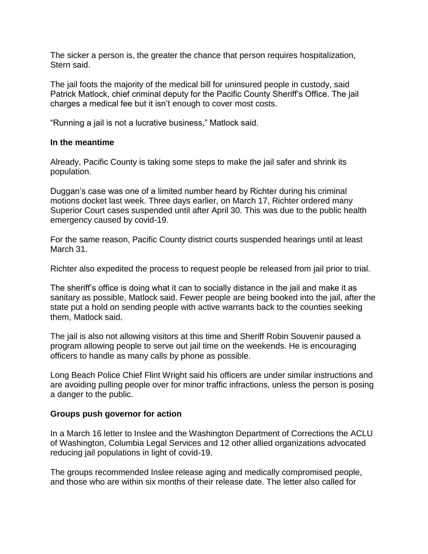The sicker a person is, the greater the chance that person requires hospitalization, Stern said.

The jail foots the majority of the medical bill for uninsured people in custody, said Patrick Matlock, chief criminal deputy for the Pacific County Sheriff's Office. The jail charges a medical fee but it isn't enough to cover most costs.

"Running a jail is not a lucrative business," Matlock said.

### **In the meantime**

Already, Pacific County is taking some steps to make the jail safer and shrink its population.

Duggan's case was one of a limited number heard by Richter during his criminal motions docket last week. Three days earlier, on March 17, Richter ordered many Superior Court cases suspended until after April 30. This was due to the public health emergency caused by covid-19.

For the same reason, Pacific County district courts suspended hearings until at least March 31.

Richter also expedited the process to request people be released from jail prior to trial.

The sheriff's office is doing what it can to socially distance in the jail and make it as sanitary as possible, Matlock said. Fewer people are being booked into the jail, after the state put a hold on sending people with active warrants back to the counties seeking them, Matlock said.

The jail is also not allowing visitors at this time and Sheriff Robin Souvenir paused a program allowing people to serve out jail time on the weekends. He is encouraging officers to handle as many calls by phone as possible.

Long Beach Police Chief Flint Wright said his officers are under similar instructions and are avoiding pulling people over for minor traffic infractions, unless the person is posing a danger to the public.

#### **Groups push governor for action**

In a March 16 letter to Inslee and the Washington Department of Corrections the ACLU of Washington, Columbia Legal Services and 12 other allied organizations advocated reducing jail populations in light of covid-19.

The groups recommended Inslee release aging and medically compromised people, and those who are within six months of their release date. The letter also called for